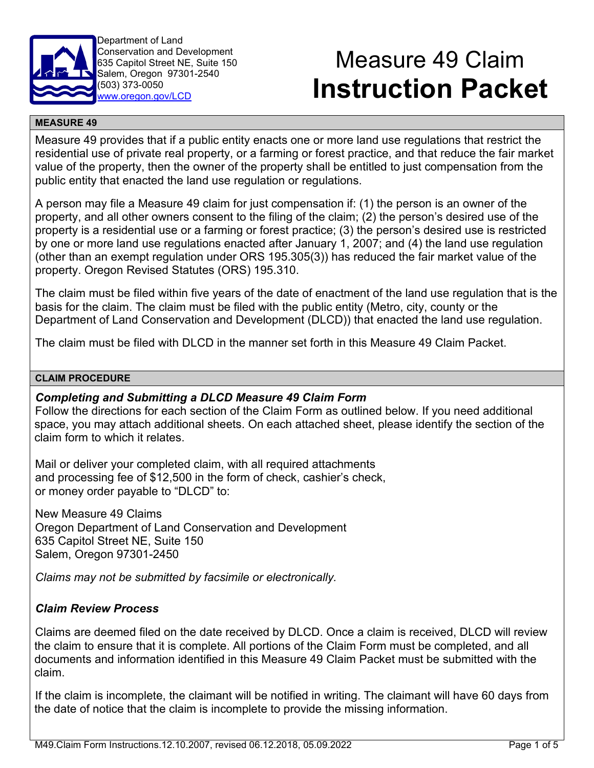

Department of Land Conservation and Development 635 Capitol Street NE, Suite 150 Salem, Oregon 97301-2540 (503) 373-0050 [www.oregon.gov/LCD](http://www.oregon.gov/LCD)

# Measure 49 Claim **Instruction Packet**

#### **MEASURE 49**

Measure 49 provides that if a public entity enacts one or more land use regulations that restrict the residential use of private real property, or a farming or forest practice, and that reduce the fair market value of the property, then the owner of the property shall be entitled to just compensation from the public entity that enacted the land use regulation or regulations.

A person may file a Measure 49 claim for just compensation if: (1) the person is an owner of the property, and all other owners consent to the filing of the claim; (2) the person's desired use of the property is a residential use or a farming or forest practice; (3) the person's desired use is restricted by one or more land use regulations enacted after January 1, 2007; and (4) the land use regulation (other than an exempt regulation under ORS 195.305(3)) has reduced the fair market value of the property. Oregon Revised Statutes (ORS) 195.310.

The claim must be filed within five years of the date of enactment of the land use regulation that is the basis for the claim. The claim must be filed with the public entity (Metro, city, county or the Department of Land Conservation and Development (DLCD)) that enacted the land use regulation.

The claim must be filed with DLCD in the manner set forth in this Measure 49 Claim Packet.

#### **CLAIM PROCEDURE**

# *Completing and Submitting a DLCD Measure 49 Claim Form*

Follow the directions for each section of the Claim Form as outlined below. If you need additional space, you may attach additional sheets. On each attached sheet, please identify the section of the claim form to which it relates.

Mail or deliver your completed claim, with all required attachments and processing fee of \$12,500 in the form of check, cashier's check, or money order payable to "DLCD" to:

New Measure 49 Claims Oregon Department of Land Conservation and Development 635 Capitol Street NE, Suite 150 Salem, Oregon 97301-2450

*Claims may not be submitted by facsimile or electronically.*

# *Claim Review Process*

Claims are deemed filed on the date received by DLCD. Once a claim is received, DLCD will review the claim to ensure that it is complete. All portions of the Claim Form must be completed, and all documents and information identified in this Measure 49 Claim Packet must be submitted with the claim.

If the claim is incomplete, the claimant will be notified in writing. The claimant will have 60 days from the date of notice that the claim is incomplete to provide the missing information.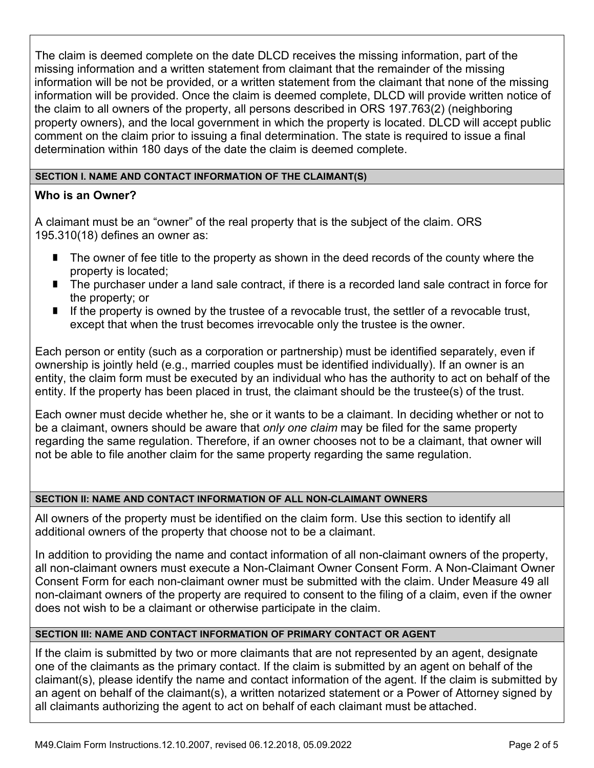The claim is deemed complete on the date DLCD receives the missing information, part of the missing information and a written statement from claimant that the remainder of the missing information will be not be provided, or a written statement from the claimant that none of the missing information will be provided. Once the claim is deemed complete, DLCD will provide written notice of the claim to all owners of the property, all persons described in ORS 197.763(2) (neighboring property owners), and the local government in which the property is located. DLCD will accept public comment on the claim prior to issuing a final determination. The state is required to issue a final determination within 180 days of the date the claim is deemed complete.

#### **SECTION I. NAME AND CONTACT INFORMATION OF THE CLAIMANT(S)**

# **Who is an Owner?**

A claimant must be an "owner" of the real property that is the subject of the claim. ORS 195.310(18) defines an owner as:

- **The owner of fee title to the property as shown in the deed records of the county where the** property is located;
- The purchaser under a land sale contract, if there is a recorded land sale contract in force for the property; or
- If ithe property is owned by the trustee of a revocable trust, the settler of a revocable trust, except that when the trust becomes irrevocable only the trustee is the owner.

Each person or entity (such as a corporation or partnership) must be identified separately, even if ownership is jointly held (e.g., married couples must be identified individually). If an owner is an entity, the claim form must be executed by an individual who has the authority to act on behalf of the entity. If the property has been placed in trust, the claimant should be the trustee(s) of the trust.

Each owner must decide whether he, she or it wants to be a claimant. In deciding whether or not to be a claimant, owners should be aware that *only one claim* may be filed for the same property regarding the same regulation. Therefore, if an owner chooses not to be a claimant, that owner will not be able to file another claim for the same property regarding the same regulation.

# **SECTION II: NAME AND CONTACT INFORMATION OF ALL NON-CLAIMANT OWNERS**

All owners of the property must be identified on the claim form. Use this section to identify all additional owners of the property that choose not to be a claimant.

In addition to providing the name and contact information of all non-claimant owners of the property, all non-claimant owners must execute a Non-Claimant Owner Consent Form. A Non-Claimant Owner Consent Form for each non-claimant owner must be submitted with the claim. Under Measure 49 all non-claimant owners of the property are required to consent to the filing of a claim, even if the owner does not wish to be a claimant or otherwise participate in the claim.

# **SECTION III: NAME AND CONTACT INFORMATION OF PRIMARY CONTACT OR AGENT**

If the claim is submitted by two or more claimants that are not represented by an agent, designate one of the claimants as the primary contact. If the claim is submitted by an agent on behalf of the claimant(s), please identify the name and contact information of the agent. If the claim is submitted by an agent on behalf of the claimant(s), a written notarized statement or a Power of Attorney signed by all claimants authorizing the agent to act on behalf of each claimant must be attached.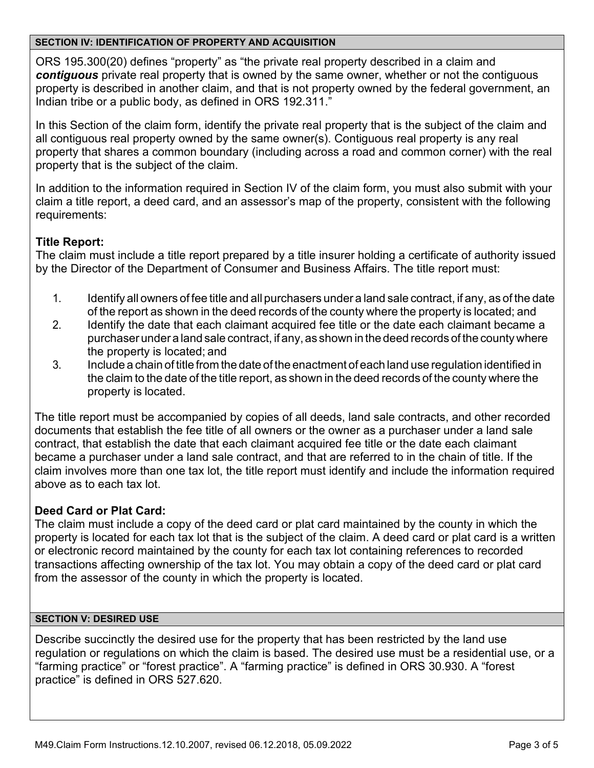#### **SECTION IV: IDENTIFICATION OF PROPERTY AND ACQUISITION**

ORS 195.300(20) defines "property" as "the private real property described in a claim and *contiguous* private real property that is owned by the same owner, whether or not the contiguous property is described in another claim, and that is not property owned by the federal government, an Indian tribe or a public body, as defined in ORS 192.311."

In this Section of the claim form, identify the private real property that is the subject of the claim and all contiguous real property owned by the same owner(s). Contiguous real property is any real property that shares a common boundary (including across a road and common corner) with the real property that is the subject of the claim.

In addition to the information required in Section IV of the claim form, you must also submit with your claim a title report, a deed card, and an assessor's map of the property, consistent with the following requirements:

# **Title Report:**

The claim must include a title report prepared by a title insurer holding a certificate of authority issued by the Director of the Department of Consumer and Business Affairs. The title report must:

- 1. Identify all owners of fee title and all purchasers under a land sale contract, if any, as of the date of the report as shown in the deed records of the county where the property is located; and
- 2. Identify the date that each claimant acquired fee title or the date each claimant became a purchaser under a land sale contract, if any, as shown in the deed records of the county where the property is located; and
- 3. Include a chain of title from the date of the enactment of each land use regulation identified in the claim to the date of the title report, as shown in the deed records of the county where the property is located.

The title report must be accompanied by copies of all deeds, land sale contracts, and other recorded documents that establish the fee title of all owners or the owner as a purchaser under a land sale contract, that establish the date that each claimant acquired fee title or the date each claimant became a purchaser under a land sale contract, and that are referred to in the chain of title. If the claim involves more than one tax lot, the title report must identify and include the information required above as to each tax lot.

# **Deed Card or Plat Card:**

The claim must include a copy of the deed card or plat card maintained by the county in which the property is located for each tax lot that is the subject of the claim. A deed card or plat card is a written or electronic record maintained by the county for each tax lot containing references to recorded transactions affecting ownership of the tax lot. You may obtain a copy of the deed card or plat card from the assessor of the county in which the property is located.

#### **SECTION V: DESIRED USE**

Describe succinctly the desired use for the property that has been restricted by the land use regulation or regulations on which the claim is based. The desired use must be a residential use, or a "farming practice" or "forest practice". A "farming practice" is defined in ORS 30.930. A "forest practice" is defined in ORS 527.620.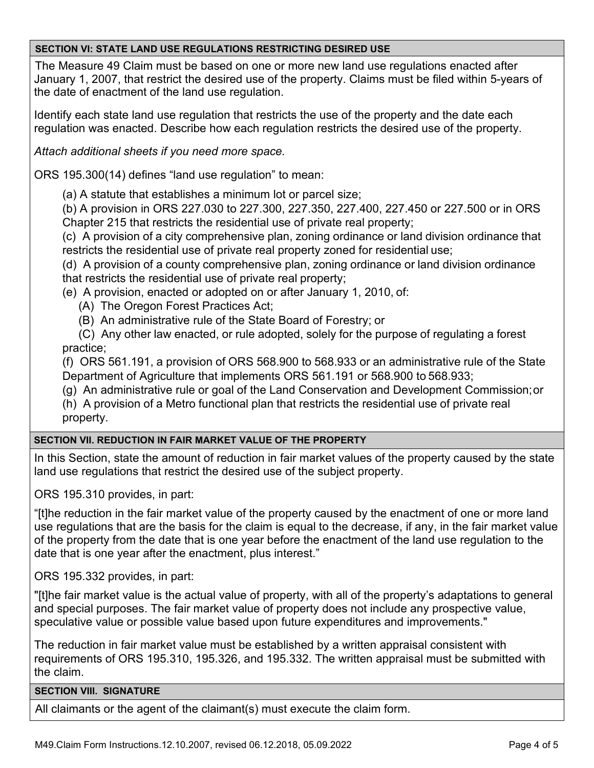#### **SECTION VI: STATE LAND USE REGULATIONS RESTRICTING DESIRED USE**

The Measure 49 Claim must be based on one or more new land use regulations enacted after January 1, 2007, that restrict the desired use of the property. Claims must be filed within 5-years of the date of enactment of the land use regulation.

Identify each state land use regulation that restricts the use of the property and the date each regulation was enacted. Describe how each regulation restricts the desired use of the property.

*Attach additional sheets if you need more space.*

ORS 195.300(14) defines "land use regulation" to mean:

(a) A statute that establishes a minimum lot or parcel size;

(b) A provision in ORS 227.030 to 227.300, 227.350, 227.400, 227.450 or 227.500 or in ORS Chapter 215 that restricts the residential use of private real property;

(c) A provision of a city comprehensive plan, zoning ordinance or land division ordinance that restricts the residential use of private real property zoned for residential use;

(d) A provision of a county comprehensive plan, zoning ordinance or land division ordinance that restricts the residential use of private real property;

(e) A provision, enacted or adopted on or after January 1, 2010, of:

- (A) The Oregon Forest Practices Act;
- (B) An administrative rule of the State Board of Forestry; or

(C) Any other law enacted, or rule adopted, solely for the purpose of regulating a forest practice;

(f) ORS 561.191, a provision of ORS 568.900 to 568.933 or an administrative rule of the State Department of Agriculture that implements ORS 561.191 or 568.900 to 568.933;

(g) An administrative rule or goal of the Land Conservation and Development Commission;or

(h) A provision of a Metro functional plan that restricts the residential use of private real property.

# **SECTION VII. REDUCTION IN FAIR MARKET VALUE OF THE PROPERTY**

In this Section, state the amount of reduction in fair market values of the property caused by the state land use regulations that restrict the desired use of the subject property.

ORS 195.310 provides, in part:

"[t]he reduction in the fair market value of the property caused by the enactment of one or more land use regulations that are the basis for the claim is equal to the decrease, if any, in the fair market value of the property from the date that is one year before the enactment of the land use regulation to the date that is one year after the enactment, plus interest."

ORS 195.332 provides, in part:

"[t]he fair market value is the actual value of property, with all of the property's adaptations to general and special purposes. The fair market value of property does not include any prospective value, speculative value or possible value based upon future expenditures and improvements."

The reduction in fair market value must be established by a written appraisal consistent with requirements of ORS 195.310, 195.326, and 195.332. The written appraisal must be submitted with the claim.

#### **SECTION VIII. SIGNATURE**

All claimants or the agent of the claimant(s) must execute the claim form.